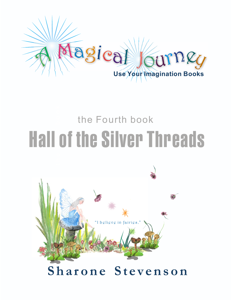

## **h e F i r s t b o o k** Hall of the Silver Threads the Fourth book

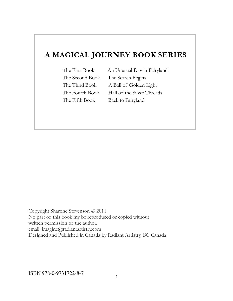### **A MAGICAL JOURNEY BOOK SERIES**

The Second Book The Search Begins

The First Book An Unusual Day in Fairyland The Third Book A Ball of Golden Light The Fourth Book Hall of the Silver Threads The Fifth Book Back to Fairyland

Copyright Sharone Stevenson © 2011 No part of this book my be reproduced or copied without written permission of the author. email: imagine@radiantartistry.com Designed and Published in Canada by Radiant Artistry, BC Canada

ISBN 978-0-9731722-8-7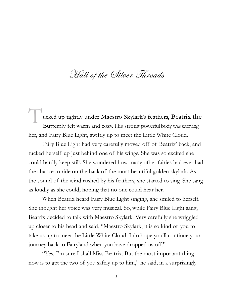## Hall of the Silver Threads

cked up tightly under Maestro Skylark's feathers, Beatrix the Butterfly felt warm and cozy. His strong powerful body was carrying her, and Fairy Blue Light, swiftly up to meet the Little White Cloud.

Fairy Blue Light had very carefully moved off of Beatrix' back, and tucked herself up just behind one of his wings. She was so excited she could hardly keep still. She wondered how many other fairies had ever had the chance to ride on the back of the most beautiful golden skylark. As the sound of the wind rushed by his feathers, she started to sing. She sang as loudly as she could, hoping that no one could hear her.

When Beatrix heard Fairy Blue Light singing, she smiled to herself. She thought her voice was very musical. So, while Fairy Blue Light sang, Beatrix decided to talk with Maestro Skylark. Very carefully she wriggled up closer to his head and said, "Maestro Skylark, it is so kind of you to take us up to meet the Little White Cloud. I do hope you'll continue your journey back to Fairyland when you have dropped us off."

"Yes, I'm sure I shall Miss Beatrix. But the most important thing now is to get the two of you safely up to him," he said, in a surprisingly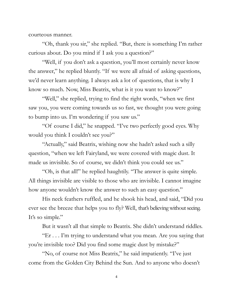courteous manner.

"Oh, thank you sir," she replied. "But, there is something I'm rather curious about. Do you mind if I ask you a question?"

"Well, if you don't ask a question, you'll most certainly never know the answer," he replied bluntly. "If we were all afraid of asking questions, we'd never learn anything. I always ask a lot of questions, that is why I know so much. Now, Miss Beatrix, what is it you want to know?"

"Well," she replied, trying to find the right words, "when we first saw you, you were coming towards us so fast, we thought you were going to bump into us. I'm wondering if you saw us."

"Of course I did," he snapped. "I've two perfectly good eyes. Why would you think I couldn't see you?"

"Actually," said Beatrix, wishing now she hadn't asked such a silly question, "when we left Fairyland, we were covered with magic dust. It made us invisible. So of course, we didn't think you could see us."

"Oh, is that all!" he replied haughtily. "The answer is quite simple. All things invisible are visible to those who are invisible. I cannot imagine how anyone wouldn't know the answer to such an easy question."

His neck feathers ruffled, and he shook his head, and said, "Did you ever see the breeze that helps you to fly? Well, that's believing without seeing. It's so simple."

But it wasn't all that simple to Beatrix. She didn't understand riddles.

"Er . . . I'm trying to understand what you mean. Are you saying that you're invisible too? Did you find some magic dust by mistake?"

"No, of course not Miss Beatrix," he said impatiently. "I've just come from the Golden City Behind the Sun. And to anyone who doesn't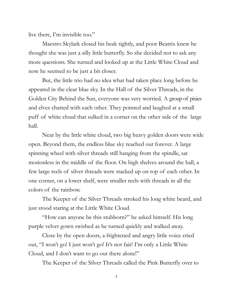live there, I'm invisible too."

Maestro Skylark closed his beak tightly, and poor Beatrix knew he thought she was just a silly little butterfly. So she decided not to ask any more questions. She turned and looked up at the Little White Cloud and now he seemed to be just a bit closer.

But, the little trio had no idea what had taken place long before he appeared in the clear blue sky. In the Hall of the Silver Threads, in the Golden City Behind the Sun, everyone was very worried. A group of pixies and elves chatted with each other. They pointed and laughed at a small puff of white cloud that sulked in a corner on the other side of the large hall.

Near by the little white cloud, two big heavy golden doors were wide open. Beyond them, the endless blue sky reached out forever. A large spinning wheel with silver threads still hanging from the spindle, sat motionless in the middle of the floor. On high shelves around the hall, a few large reels of silver threads were stacked up on top of each other. In one corner, on a lower shelf, were smaller reels with threads in all the colors of the rainbow.

The Keeper of the Silver Threads stroked his long white beard, and just stood staring at the Little White Cloud.

"How can anyone be this stubborn?" he asked himself. His long purple velvet gown swished as he turned quickly and walked away.

Close by the open doors, a frightened and angry little voice cried out, "I won't go! I just won't go! It's not fair! I'm only a Little White Cloud, and I don't want to go out there alone!"

The Keeper of the Silver Threads called the Pink Butterfly over to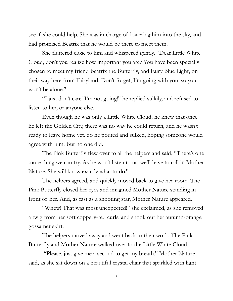see if she could help. She was in charge of lowering him into the sky, and had promised Beatrix that he would be there to meet them.

She fluttered close to him and whispered gently, "Dear Little White Cloud, don't you realize how important you are? You have been specially chosen to meet my friend Beatrix the Butterfly, and Fairy Blue Light, on their way here from Fairyland. Don't forget, I'm going with you, so you won't be alone."

"I just don't care! I'm not going!" he replied sulkily, and refused to listen to her, or anyone else.

Even though he was only a Little White Cloud, he knew that once he left the Golden City, there was no way he could return, and he wasn't ready to leave home yet. So he pouted and sulked, hoping someone would agree with him. But no one did.

The Pink Butterfly flew over to all the helpers and said, "There's one more thing we can try. As he won't listen to us, we'll have to call in Mother Nature. She will know exactly what to do."

The helpers agreed, and quickly moved back to give her room. The Pink Butterfly closed her eyes and imagined Mother Nature standing in front of her. And, as fast as a shooting star, Mother Nature appeared.

"Whew! That was most unexpected!" she exclaimed, as she removed a twig from her soft coppery-red curls, and shook out her autumn-orange gossamer skirt.

The helpers moved away and went back to their work. The Pink Butterfly and Mother Nature walked over to the Little White Cloud.

"Please, just give me a second to get my breath," Mother Nature said, as she sat down on a beautiful crystal chair that sparkled with light.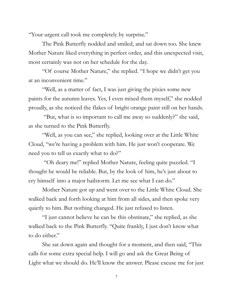"Your urgent call took me completely by surprise."

The Pink Butterfly nodded and smiled, and sat down too. She knew Mother Nature liked everything in perfect order, and this unexpected visit, most certainly was not on her schedule for the day.

"Of course Mother Nature," she replied. "I hope we didn't get you at an inconvenient time."

"Well, as a matter of fact, I was just giving the pixies some new paints for the autumn leaves. Yes, I even mixed them myself," she nodded proudly, as she noticed the flakes of bright orange paint still on her hands.

"But, what is so important to call me away so suddenly?" she said, as she turned to the Pink Butterfly.

"Well, as you can see," she replied, looking over at the Little White Cloud, "we're having a problem with him. He just won't cooperate. We need you to tell us exactly what to do?"

"Oh deary me!" replied Mother Nature, feeling quite puzzled. "I thought he would be reliable. But, by the look of him, he's just about to cry himself into a major hailstorm. Let me see what I can do."

Mother Nature got up and went over to the Little White Cloud. She walked back and forth looking at him from all sides, and then spoke very quietly to him. But nothing changed. He just refused to listen.

"I just cannot believe he can be this obstinate," she replied, as she walked back to the Pink Butterfly. "Quite frankly, I just don't know what to do either."

She sat down again and thought for a moment, and then said, "This calls for some extra special help. I will go and ask the Great Being of Light what we should do. He'll know the answer. Please excuse me for just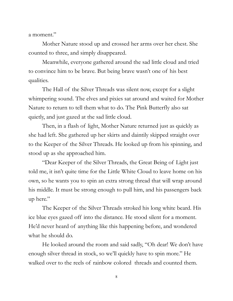a moment."

Mother Nature stood up and crossed her arms over her chest. She counted to three, and simply disappeared.

Meanwhile, everyone gathered around the sad little cloud and tried to convince him to be brave. But being brave wasn't one of his best qualities.

The Hall of the Silver Threads was silent now, except for a slight whimpering sound. The elves and pixies sat around and waited for Mother Nature to return to tell them what to do. The Pink Butterfly also sat quietly, and just gazed at the sad little cloud.

Then, in a flash of light, Mother Nature returned just as quickly as she had left. She gathered up her skirts and daintily skipped straight over to the Keeper of the Silver Threads. He looked up from his spinning, and stood up as she approached him.

"Dear Keeper of the Silver Threads, the Great Being of Light just told me, it isn't quite time for the Little White Cloud to leave home on his own, so he wants you to spin an extra strong thread that will wrap around his middle. It must be strong enough to pull him, and his passengers back up here."

The Keeper of the Silver Threads stroked his long white beard. His ice blue eyes gazed off into the distance. He stood silent for a moment. He'd never heard of anything like this happening before, and wondered what he should do.

He looked around the room and said sadly, "Oh dear! We don't have enough silver thread in stock, so we'll quickly have to spin more." He walked over to the reels of rainbow colored threads and counted them.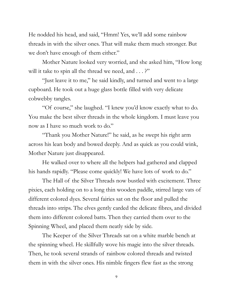He nodded his head, and said, "Hmm! Yes, we'll add some rainbow threads in with the silver ones. That will make them much stronger. But we don't have enough of them either."

Mother Nature looked very worried, and she asked him, "How long will it take to spin all the thread we need, and . . . ?"

"Just leave it to me," he said kindly, and turned and went to a large cupboard. He took out a huge glass bottle filled with very delicate cobwebby tangles.

"Of course," she laughed. "I knew you'd know exactly what to do. You make the best silver threads in the whole kingdom. I must leave you now as I have so much work to do."

"Thank you Mother Nature!" he said, as he swept his right arm across his lean body and bowed deeply. And as quick as you could wink, Mother Nature just disappeared.

He walked over to where all the helpers had gathered and clapped his hands rapidly. "Please come quickly! We have lots of work to do."

The Hall of the Silver Threads now bustled with excitement. Three pixies, each holding on to a long thin wooden paddle, stirred large vats of different colored dyes. Several fairies sat on the floor and pulled the threads into strips. The elves gently carded the delicate fibres, and divided them into different colored batts. Then they carried them over to the Spinning Wheel, and placed them neatly side by side.

The Keeper of the Silver Threads sat on a white marble bench at the spinning wheel. He skillfully wove his magic into the silver threads. Then, he took several strands of rainbow colored threads and twisted them in with the silver ones. His nimble fingers flew fast as the strong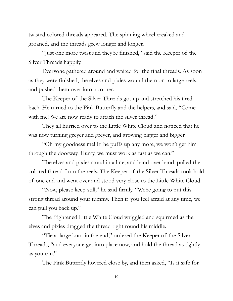twisted colored threads appeared. The spinning wheel creaked and groaned, and the threads grew longer and longer.

"Just one more twist and they're finished," said the Keeper of the Silver Threads happily.

Everyone gathered around and waited for the final threads. As soon as they were finished, the elves and pixies wound them on to large reels, and pushed them over into a corner.

The Keeper of the Silver Threads got up and stretched his tired back. He turned to the Pink Butterfly and the helpers, and said, "Come with me! We are now ready to attach the silver thread."

They all hurried over to the Little White Cloud and noticed that he was now turning greyer and greyer, and growing bigger and bigger.

"Oh my goodness me! If he puffs up any more, we won't get him through the doorway. Hurry, we must work as fast as we can."

The elves and pixies stood in a line, and hand over hand, pulled the colored thread from the reels. The Keeper of the Silver Threads took hold of one end and went over and stood very close to the Little White Cloud.

"Now, please keep still," he said firmly. "We're going to put this strong thread around your tummy. Then if you feel afraid at any time, we can pull you back up."

The frightened Little White Cloud wriggled and squirmed as the elves and pixies dragged the thread right round his middle.

"Tie a large knot in the end," ordered the Keeper of the Silver Threads, "and everyone get into place now, and hold the thread as tightly as you can."

The Pink Butterfly hovered close by, and then asked, "Is it safe for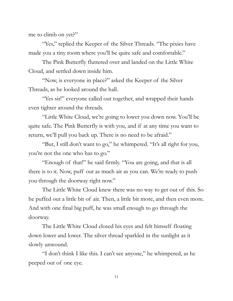me to climb on yet?"

"Yes," replied the Keeper of the Silver Threads. "The pixies have made you a tiny room where you'll be quite safe and comfortable."

The Pink Butterfly fluttered over and landed on the Little White Cloud, and settled down inside him.

"Now, is everyone in place?" asked the Keeper of the Silver Threads, as he looked around the hall.

"Yes sir!" everyone called out together, and wrapped their hands even tighter around the threads.

"Little White Cloud, we're going to lower you down now. You'll be quite safe. The Pink Butterfly is with you, and if at any time you want to return, we'll pull you back up. There is no need to be afraid."

"But, I still don't want to go," he whimpered. "It's all right for you, you're not the one who has to go."

"Enough of that!" he said firmly. "You are going, and that is all there is to it. Now, puff out as much air as you can. We're ready to push you through the doorway right now."

The Little White Cloud knew there was no way to get out of this. So he puffed out a little bit of air. Then, a little bit more, and then even more. And with one final big puff, he was small enough to go through the doorway.

The Little White Cloud closed his eyes and felt himself floating down lower and lower. The silver thread sparkled in the sunlight as it slowly unwound.

"I don't think I like this. I can't see anyone," he whimpered, as he peeped out of one eye.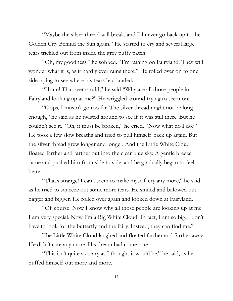"Maybe the silver thread will break, and I'll never go back up to the Golden City Behind the Sun again." He started to cry and several large tears trickled out from inside the grey puffy patch.

"Oh, my goodness," he sobbed. "I'm raining on Fairyland. They will wonder what it is, as it hardly ever rains there." He rolled over on to one side trying to see where his tears had landed.

"Hmm! That seems odd," he said "Why are all those people in Fairyland looking up at me?" He wriggled around trying to see more.

"Oops, I mustn't go too far. The silver thread might not be long enough," he said as he twisted around to see if it was still there. But he couldn't see it. "Oh, it must be broken," he cried. "Now what do I do?" He took a few slow breaths and tried to pull himself back up again. But the silver thread grew longer and longer. And the Little White Cloud floated farther and farther out into the clear blue sky. A gentle breeze came and pushed him from side to side, and he gradually began to feel better.

"That's strange! I can't seem to make myself cry any more," he said as he tried to squeeze out some more tears. He smiled and billowed out bigger and bigger. He rolled over again and looked down at Fairyland.

"Of course! Now I know why all those people are looking up at me. I am very special. Now I'm a Big White Cloud. In fact, I am so big, I don't have to look for the butterfly and the fairy. Instead, they can find me."

The Little White Cloud laughed and floated farther and farther away. He didn't care any more. His dream had come true.

"This isn't quite as scary as I thought it would be," he said, as he puffed himself out more and more.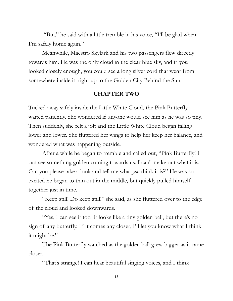"But," he said with a little tremble in his voice, "I'll be glad when I'm safely home again."

Meanwhile, Maestro Skylark and his two passengers flew directly towards him. He was the only cloud in the clear blue sky, and if you looked closely enough, you could see a long silver cord that went from somewhere inside it, right up to the Golden City Behind the Sun.

#### **CHAPTER TWO**

Tucked away safely inside the Little White Cloud, the Pink Butterfly waited patiently. She wondered if anyone would see him as he was so tiny. Then suddenly, she felt a jolt and the Little White Cloud began falling lower and lower. She fluttered her wings to help her keep her balance, and wondered what was happening outside.

After a while he began to tremble and called out, "Pink Butterfly! I can see something golden coming towards us. I can't make out what it is. Can you please take a look and tell me what *you* think it is?" He was so excited he began to thin out in the middle, but quickly pulled himself together just in time.

"Keep still! Do keep still!" she said, as she fluttered over to the edge of the cloud and looked downwards.

"Yes, I can see it too. It looks like a tiny golden ball, but there's no sign of any butterfly. If it comes any closer, I'll let you know what I think it might be."

The Pink Butterfly watched as the golden ball grew bigger as it came closer.

"That's strange! I can hear beautiful singing voices, and I think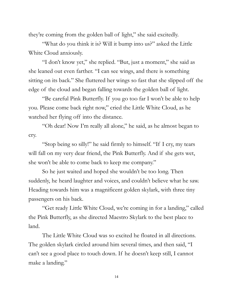they're coming from the golden ball of light," she said excitedly.

"What do you think it is? Will it bump into us?" asked the Little White Cloud anxiously.

"I don't know yet," she replied. "But, just a moment," she said as she leaned out even farther. "I can see wings, and there is something sitting on its back." She fluttered her wings so fast that she slipped off the edge of the cloud and began falling towards the golden ball of light.

"Be careful Pink Butterfly. If you go too far I won't be able to help you. Please come back right now," cried the Little White Cloud, as he watched her flying off into the distance.

"Oh dear! Now I'm really all alone," he said, as he almost began to cry.

"Stop being so silly!" he said firmly to himself. "If I cry, my tears will fall on my very dear friend, the Pink Butterfly. And if she gets wet, she won't be able to come back to keep me company."

So he just waited and hoped she wouldn't be too long. Then suddenly, he heard laughter and voices, and couldn't believe what he saw. Heading towards him was a magnificent golden skylark, with three tiny passengers on his back.

"Get ready Little White Cloud, we're coming in for a landing," called the Pink Butterfly, as she directed Maestro Skylark to the best place to land.

The Little White Cloud was so excited he floated in all directions. The golden skylark circled around him several times, and then said, "I can't see a good place to touch down. If he doesn't keep still, I cannot make a landing."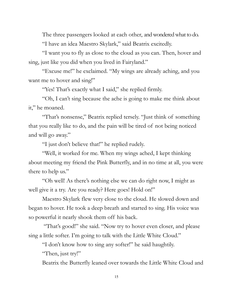The three passengers looked at each other, and wondered what to do. "I have an idea Maestro Skylark," said Beatrix excitedly.

"I want you to fly as close to the cloud as you can. Then, hover and sing, just like you did when you lived in Fairyland."

"Excuse me!" he exclaimed. "My wings are already aching, and you want me to hover and sing!"

"Yes! That's exactly what I said," she replied firmly.

"Oh, I can't sing because the ache is going to make me think about it," he moaned.

"That's nonsense," Beatrix replied tersely. "Just think of something that you really like to do, and the pain will be tired of not being noticed and will go away."

"I just don't believe that!" he replied rudely.

"Well, it worked for me. When my wings ached, I kept thinking about meeting my friend the Pink Butterfly, and in no time at all, you were there to help us."

"Oh well! As there's nothing else we can do right now, I might as well give it a try. Are you ready? Here goes! Hold on!"

Maestro Skylark flew very close to the cloud. He slowed down and began to hover. He took a deep breath and started to sing. His voice was so powerful it nearly shook them off his back.

"That's good!" she said. "Now try to hover even closer, and please sing a little softer. I'm going to talk with the Little White Cloud."

"I don't know how to sing any softer!" he said haughtily.

"Then, just try!"

Beatrix the Butterfly leaned over towards the Little White Cloud and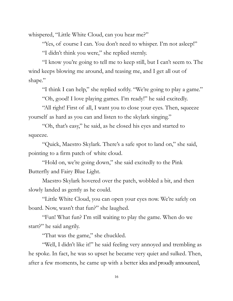whispered, "Little White Cloud, can you hear me?"

"Yes, of course I can. You don't need to whisper. I'm not asleep!"

"I didn't think you were," she replied sternly.

"I know you're going to tell me to keep still, but I can't seem to. The wind keeps blowing me around, and teasing me, and I get all out of shape."

"I think I can help," she replied softly. "We're going to play a game."

"Oh, good! I love playing games. I'm ready!" he said excitedly.

"All right! First of all, I want you to close your eyes. Then, squeeze yourself as hard as you can and listen to the skylark singing."

"Oh, that's easy," he said, as he closed his eyes and started to squeeze.

"Quick, Maestro Skylark. There's a safe spot to land on," she said, pointing to a firm patch of white cloud.

"Hold on, we're going down," she said excitedly to the Pink Butterfly and Fairy Blue Light.

Maestro Skylark hovered over the patch, wobbled a bit, and then slowly landed as gently as he could.

"Little White Cloud, you can open your eyes now. We're safely on board. Now, wasn't that fun?" she laughed.

"Fun! What fun? I'm still waiting to play the game. When do we start?" he said angrily.

"That was the game," she chuckled.

"Well, I didn't like it!" he said feeling very annoyed and trembling as he spoke. In fact, he was so upset he became very quiet and sulked. Then, after a few moments, he came up with a better idea and proudly announced,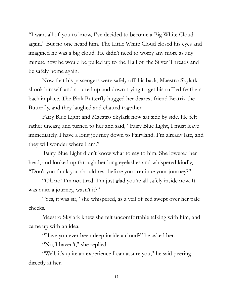"I want all of you to know, I've decided to become a Big White Cloud again." But no one heard him. The Little White Cloud closed his eyes and imagined he was a big cloud. He didn't need to worry any more as any minute now he would be pulled up to the Hall of the Silver Threads and be safely home again.

Now that his passengers were safely off his back, Maestro Skylark shook himself and strutted up and down trying to get his ruffled feathers back in place. The Pink Butterfly hugged her dearest friend Beatrix the Butterfly, and they laughed and chatted together.

Fairy Blue Light and Maestro Skylark now sat side by side. He felt rather uneasy, and turned to her and said, "Fairy Blue Light, I must leave immediately. I have a long journey down to Fairyland. I'm already late, and they will wonder where I am."

Fairy Blue Light didn't know what to say to him. She lowered her head, and looked up through her long eyelashes and whispered kindly, "Don't you think you should rest before you continue your journey?"

"Oh no! I'm not tired. I'm just glad you're all safely inside now. It was quite a journey, wasn't it?"

"Yes, it was sir," she whispered, as a veil of red swept over her pale cheeks.

Maestro Skylark knew she felt uncomfortable talking with him, and came up with an idea.

"Have you ever been deep inside a cloud?" he asked her.

"No, I haven't," she replied.

"Well, it's quite an experience I can assure you," he said peering directly at her.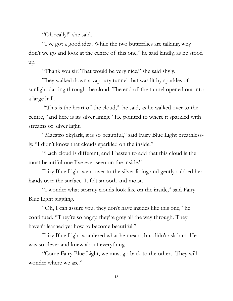"Oh really!" she said.

"I've got a good idea. While the two butterflies are talking, why don't we go and look at the centre of this one," he said kindly, as he stood up.

"Thank you sir! That would be very nice," she said shyly.

They walked down a vapoury tunnel that was lit by sparkles of sunlight darting through the cloud. The end of the tunnel opened out into a large hall.

"This is the heart of the cloud," he said, as he walked over to the centre, "and here is its silver lining." He pointed to where it sparkled with streams of silver light.

"Maestro Skylark, it is so beautiful," said Fairy Blue Light breathlessly. "I didn't know that clouds sparkled on the inside."

"Each cloud is different, and I hasten to add that this cloud is the most beautiful one I've ever seen on the inside."

Fairy Blue Light went over to the silver lining and gently rubbed her hands over the surface. It felt smooth and moist.

"I wonder what stormy clouds look like on the inside," said Fairy Blue Light giggling.

"Oh, I can assure you, they don't have insides like this one," he continued. "They're so angry, they're grey all the way through. They haven't learned yet how to become beautiful."

Fairy Blue Light wondered what he meant, but didn't ask him. He was so clever and knew about everything.

"Come Fairy Blue Light, we must go back to the others. They will wonder where we are."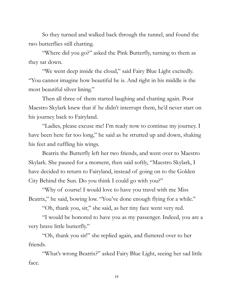So they turned and walked back through the tunnel, and found the two butterflies still chatting.

"Where did you go?" asked the Pink Butterfly, turning to them as they sat down.

"We went deep inside the cloud," said Fairy Blue Light excitedly. "You cannot imagine how beautiful he is. And right in his middle is the most beautiful silver lining."

Then all three of them started laughing and chatting again. Poor Maestro Skylark knew that if he didn't interrupt them, he'd never start on his journey back to Fairyland.

"Ladies, please excuse me! I'm ready now to continue my journey. I have been here far too long," he said as he strutted up and down, shaking his feet and ruffling his wings.

Beatrix the Butterfly left her two friends, and went over to Maestro Skylark. She paused for a moment, then said softly, "Maestro Skylark, I have decided to return to Fairyland, instead of going on to the Golden City Behind the Sun. Do you think I could go with you?"

"Why of course! I would love to have you travel with me Miss Beatrix," he said, bowing low. "You've done enough flying for a while."

"Oh, thank you, sir," she said, as her tiny face went very red.

"I would be honored to have you as my passenger. Indeed, you are a very brave little butterfly."

"Oh, thank you sir!" she replied again, and fluttered over to her friends.

"What's wrong Beatrix?" asked Fairy Blue Light, seeing her sad little face.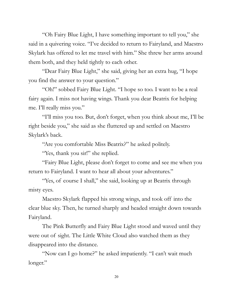"Oh Fairy Blue Light, I have something important to tell you," she said in a quivering voice. "I've decided to return to Fairyland, and Maestro Skylark has offered to let me travel with him." She threw her arms around them both, and they held tightly to each other.

"Dear Fairy Blue Light," she said, giving her an extra hug, "I hope you find the answer to your question."

"Oh!" sobbed Fairy Blue Light. "I hope so too. I want to be a real fairy again. I miss not having wings. Thank you dear Beatrix for helping me. I'll really miss you."

"I'll miss you too. But, don't forget, when you think about me, I'll be right beside you," she said as she fluttered up and settled on Maestro Skylark's back.

"Are you comfortable Miss Beatrix?" he asked politely.

"Yes, thank you sir!" she replied.

"Fairy Blue Light, please don't forget to come and see me when you return to Fairyland. I want to hear all about your adventures."

"Yes, of course I shall," she said, looking up at Beatrix through misty eyes.

Maestro Skylark flapped his strong wings, and took off into the clear blue sky. Then, he turned sharply and headed straight down towards Fairyland.

The Pink Butterfly and Fairy Blue Light stood and waved until they were out of sight. The Little White Cloud also watched them as they disappeared into the distance.

"Now can I go home?" he asked impatiently. "I can't wait much longer."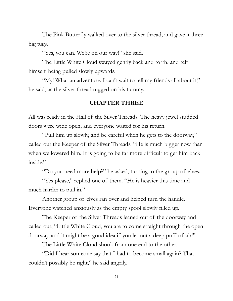The Pink Butterfly walked over to the silver thread, and gave it three big tugs.

"Yes, you can. We're on our way!" she said.

The Little White Cloud swayed gently back and forth, and felt himself being pulled slowly upwards.

"My! What an adventure. I can't wait to tell my friends all about it," he said, as the silver thread tugged on his tummy.

#### **CHAPTER THREE**

All was ready in the Hall of the Silver Threads. The heavy jewel studded doors were wide open, and everyone waited for his return.

"Pull him up slowly, and be careful when he gets to the doorway," called out the Keeper of the Silver Threads. "He is much bigger now than when we lowered him. It is going to be far more difficult to get him back inside."

"Do you need more help?" he asked, turning to the group of elves.

"Yes please," replied one of them. "He is heavier this time and much harder to pull in."

Another group of elves ran over and helped turn the handle. Everyone watched anxiously as the empty spool slowly filled up.

The Keeper of the Silver Threads leaned out of the doorway and called out, "Little White Cloud, you are to come straight through the open doorway, and it might be a good idea if you let out a deep puff of air!"

The Little White Cloud shook from one end to the other.

"Did I hear someone say that I had to become small again? That couldn't possibly be right," he said angrily.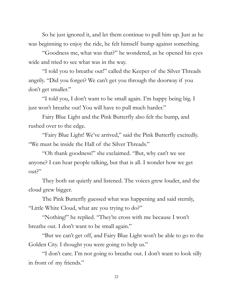So he just ignored it, and let them continue to pull him up. Just as he was beginning to enjoy the ride, he felt himself bump against something.

"Goodness me, what was that?" he wondered, as he opened his eyes wide and tried to see what was in the way.

"I told you to breathe out!" called the Keeper of the Silver Threads angrily. "Did you forget? We can't get you through the doorway if you don't get smaller."

"I told you, I don't want to be small again. I'm happy being big. I just won't breathe out! You will have to pull much harder."

Fairy Blue Light and the Pink Butterfly also felt the bump, and rushed over to the edge.

"Fairy Blue Light! We've arrived," said the Pink Butterfly excitedly. "We must be inside the Hall of the Silver Threads."

"Oh thank goodness!" she exclaimed. "But, why can't we see anyone? I can hear people talking, but that is all. I wonder how we get out?"

They both sat quietly and listened. The voices grew louder, and the cloud grew bigger.

The Pink Butterfly guessed what was happening and said sternly, "Little White Cloud, what are you trying to do?"

"Nothing!" he replied. "They're cross with me because I won't breathe out. I don't want to be small again."

"But we can't get off, and Fairy Blue Light won't be able to go to the Golden City. I thought you were going to help us."

"I don't care. I'm not going to breathe out. I don't want to look silly in front of my friends."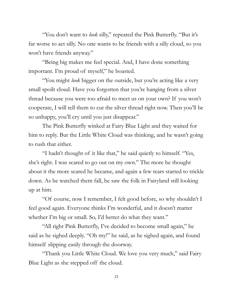"You don't want to *look* silly," repeated the Pink Butterfly. "But it's far worse to act silly. No one wants to be friends with a silly cloud, so you won't have friends anyway."

"Being big makes me feel special. And, I have done something important. I'm proud of myself," he boasted.

"You might *look* bigger on the outside, but you're acting like a very small spoilt cloud. Have you forgotten that you're hanging from a silver thread because you were too afraid to meet us on your own? If you won't cooperate, I will tell them to cut the silver thread right now. Then you'll be so unhappy, you'll cry until you just disappear."

The Pink Butterfly winked at Fairy Blue Light and they waited for him to reply. But the Little White Cloud was thinking, and he wasn't going to rush that either.

"I hadn't thought of it like that," he said quietly to himself. "Yes, she's right. I was scared to go out on my own." The more he thought about it the more scared he became, and again a few tears started to trickle down. As he watched them fall, he saw the folk in Fairyland still looking up at him.

"Of course, now I remember, I felt good before, so why shouldn't I feel good again. Everyone thinks I'm wonderful, and it doesn't matter whether I'm big or small. So, I'd better do what they want."

"All right Pink Butterfly, I've decided to become small again," he said as he sighed deeply. "Oh my!" he said, as he sighed again, and found himself slipping easily through the doorway.

"Thank you Little White Cloud. We love you very much," said Fairy Blue Light as she stepped off the cloud.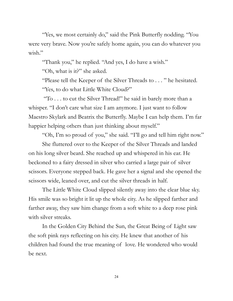"Yes, we most certainly do," said the Pink Butterfly nodding. "You were very brave. Now you're safely home again, you can do whatever you wish."

"Thank you," he replied. "And yes, I do have a wish."

"Oh, what is it?" she asked.

"Please tell the Keeper of the Silver Threads to . . . " he hesitated. "Yes, to do what Little White Cloud?"

"To . . . to cut the Silver Thread!" he said in barely more than a whisper. "I don't care what size I am anymore. I just want to follow Maestro Skylark and Beatrix the Butterfly. Maybe I can help them. I'm far happier helping others than just thinking about myself."

"Oh, I'm so proud of you," she said. "I'll go and tell him right now." She fluttered over to the Keeper of the Silver Threads and landed on his long silver beard. She reached up and whispered in his ear. He beckoned to a fairy dressed in silver who carried a large pair of silver scissors. Everyone stepped back. He gave her a signal and she opened the scissors wide, leaned over, and cut the silver threads in half.

The Little White Cloud slipped silently away into the clear blue sky. His smile was so bright it lit up the whole city. As he slipped farther and farther away, they saw him change from a soft white to a deep rose pink with silver streaks.

In the Golden City Behind the Sun, the Great Being of Light saw the soft pink rays reflecting on his city. He knew that another of his children had found the true meaning of love. He wondered who would be next.

24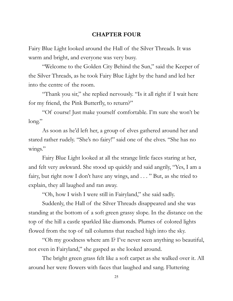#### **CHAPTER FOUR**

Fairy Blue Light looked around the Hall of the Silver Threads. It was warm and bright, and everyone was very busy.

"Welcome to the Golden City Behind the Sun," said the Keeper of the Silver Threads, as he took Fairy Blue Light by the hand and led her into the centre of the room.

"Thank you sir," she replied nervously. "Is it all right if I wait here for my friend, the Pink Butterfly, to return?"

"Of course! Just make yourself comfortable. I'm sure she won't be long."

As soon as he'd left her, a group of elves gathered around her and stared rather rudely. "She's no fairy!" said one of the elves. "She has no wings."

Fairy Blue Light looked at all the strange little faces staring at her, and felt very awkward. She stood up quickly and said angrily, "Yes, I am a fairy, but right now I don't have any wings, and . . . " But, as she tried to explain, they all laughed and ran away.

"Oh, how I wish I were still in Fairyland," she said sadly.

Suddenly, the Hall of the Silver Threads disappeared and she was standing at the bottom of a soft green grassy slope. In the distance on the top of the hill a castle sparkled like diamonds. Plumes of colored lights flowed from the top of tall columns that reached high into the sky.

"Oh my goodness where am I? I've never seen anything so beautiful, not even in Fairyland," she gasped as she looked around.

The bright green grass felt like a soft carpet as she walked over it. All around her were flowers with faces that laughed and sang. Fluttering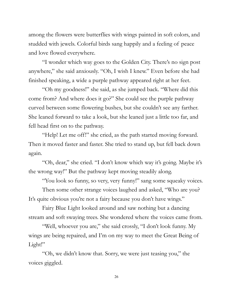among the flowers were butterflies with wings painted in soft colors, and studded with jewels. Colorful birds sang happily and a feeling of peace and love flowed everywhere.

"I wonder which way goes to the Golden City. There's no sign post anywhere," she said anxiously. "Oh, I wish I knew." Even before she had finished speaking, a wide a purple pathway appeared right at her feet.

"Oh my goodness!" she said, as she jumped back. "Where did this come from? And where does it go?" She could see the purple pathway curved between some flowering bushes, but she couldn't see any farther. She leaned forward to take a look, but she leaned just a little too far, and fell head first on to the pathway.

"Help! Let me off!" she cried, as the path started moving forward. Then it moved faster and faster. She tried to stand up, but fell back down again.

"Oh, dear," she cried. "I don't know which way it's going. Maybe it's the wrong way!" But the pathway kept moving steadily along.

"You look so funny, so very, very funny!" sang some squeaky voices.

Then some other strange voices laughed and asked, "Who are you? It's quite obvious you're not a fairy because you don't have wings."

Fairy Blue Light looked around and saw nothing but a dancing stream and soft swaying trees. She wondered where the voices came from.

"Well, whoever you are," she said crossly, "I don't look funny. My wings are being repaired, and I'm on my way to meet the Great Being of Light!"

"Oh, we didn't know that. Sorry, we were just teasing you," the voices giggled.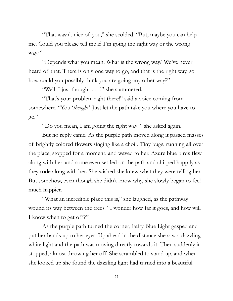"That wasn't nice of you," she scolded. "But, maybe you can help me. Could you please tell me if I'm going the right way or the wrong way?"

"Depends what you mean. What is the wrong way? We've never heard of that. There is only one way to go, and that is the right way, so how could you possibly think you are going any other way?"

"Well, I just thought . . . !" she stammered.

"That's your problem right there!" said a voice coming from somewhere. "You '*thought'*! Just let the path take you where you have to go."

"Do you mean, I am going the right way?" she asked again.

But no reply came. As the purple path moved along it passed masses of brightly colored flowers singing like a choir. Tiny bugs, running all over the place, stopped for a moment, and waved to her. Azure blue birds flew along with her, and some even settled on the path and chirped happily as they rode along with her. She wished she knew what they were telling her. But somehow, even though she didn't know why, she slowly began to feel much happier.

"What an incredible place this is," she laughed, as the pathway wound its way between the trees. "I wonder how far it goes, and how will I know when to get off?"

As the purple path turned the corner, Fairy Blue Light gasped and put her hands up to her eyes. Up ahead in the distance she saw a dazzling white light and the path was moving directly towards it. Then suddenly it stopped, almost throwing her off. She scrambled to stand up, and when she looked up she found the dazzling light had turned into a beautiful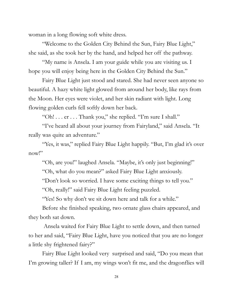woman in a long flowing soft white dress.

"Welcome to the Golden City Behind the Sun, Fairy Blue Light," she said, as she took her by the hand, and helped her off the pathway.

"My name is Ansela. I am your guide while you are visiting us. I hope you will enjoy being here in the Golden City Behind the Sun."

Fairy Blue Light just stood and stared. She had never seen anyone so beautiful. A hazy white light glowed from around her body, like rays from the Moon. Her eyes were violet, and her skin radiant with light. Long flowing golden curls fell softly down her back.

"Oh! . . . er . . . Thank you," she replied. "I'm sure I shall."

"I've heard all about your journey from Fairyland," said Ansela. "It really was quite an adventure."

"Yes, it was," replied Fairy Blue Light happily. "But, I'm glad it's over now!"

"Oh, are you!" laughed Ansela. "Maybe, it's only just beginning!"

"Oh, what do you mean?" asked Fairy Blue Light anxiously.

"Don't look so worried. I have some exciting things to tell you."

"Oh, really!" said Fairy Blue Light feeling puzzled.

"Yes! So why don't we sit down here and talk for a while."

Before she finished speaking, two ornate glass chairs appeared, and they both sat down.

Ansela waited for Fairy Blue Light to settle down, and then turned to her and said, "Fairy Blue Light, have you noticed that you are no longer a little shy frightened fairy?"

Fairy Blue Light looked very surprised and said, "Do you mean that I'm growing taller? If I am, my wings won't fit me, and the dragonflies will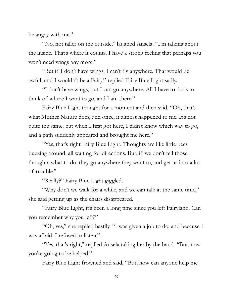be angry with me."

"No, not taller on the outside," laughed Ansela. "I'm talking about the inside. That's where it counts. I have a strong feeling that perhaps you won't need wings any more."

"But if I don't have wings, I can't fly anywhere. That would be awful, and I wouldn't be a Fairy," replied Fairy Blue Light sadly.

"I don't have wings, but I can go anywhere. All I have to do is to think of where I want to go, and I am there."

Fairy Blue Light thought for a moment and then said, "Oh, that's what Mother Nature does, and once, it almost happened to me. It's not quite the same, but when I first got here, I didn't know which way to go, and a path suddenly appeared and brought me here."

"Yes, that's right Fairy Blue Light. Thoughts are like little bees buzzing around, all waiting for directions. But, if we don't tell those thoughts what to do, they go anywhere they want to, and get us into a lot of trouble."

"Really?" Fairy Blue Light giggled.

"Why don't we walk for a while, and we can talk at the same time," she said getting up as the chairs disappeared.

"Fairy Blue Light, it's been a long time since you left Fairyland. Can you remember why you left?"

"Oh, yes," she replied hastily. "I was given a job to do, and because I was afraid, I refused to listen."

"Yes, that's right," replied Ansela taking her by the hand. "But, now you're going to be helped."

Fairy Blue Light frowned and said, "But, how can anyone help me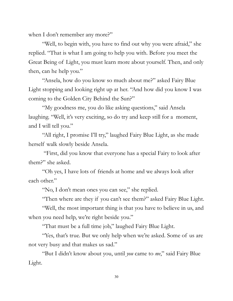when I don't remember any more?"

"Well, to begin with, you have to find out why you were afraid," she replied. "That is what I am going to help you with. Before you meet the Great Being of Light, you must learn more about yourself. Then, and only then, can he help you."

"Ansela, how do you know so much about me?" asked Fairy Blue Light stopping and looking right up at her. "And how did you know I was coming to the Golden City Behind the Sun?"

"My goodness me, you do like asking questions," said Ansela laughing. "Well, it's very exciting, so do try and keep still for a moment, and I will tell you."

"All right, I promise I'll try," laughed Fairy Blue Light, as she made herself walk slowly beside Ansela.

"First, did you know that everyone has a special Fairy to look after them?" she asked.

"Oh yes, I have lots of friends at home and we always look after each other."

"No, I don't mean ones you can see," she replied.

"Then where are they if you can't see them?" asked Fairy Blue Light.

"Well, the most important thing is that you have to believe in us, and when you need help, we're right beside you."

"That must be a full time job," laughed Fairy Blue Light.

"Yes, that's true. But we only help when we're asked. Some of us are not very busy and that makes us sad."

"But I didn't know about you, until *you* came to *me*," said Fairy Blue Light.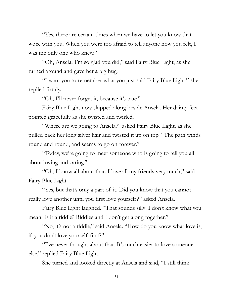"Yes, there are certain times when we have to let you know that we're with you. When you were too afraid to tell anyone how you felt, I was the only one who knew."

"Oh, Ansela! I'm so glad you did," said Fairy Blue Light, as she turned around and gave her a big hug.

"I want you to remember what you just said Fairy Blue Light," she replied firmly.

"Oh, I'll never forget it, because it's true."

Fairy Blue Light now skipped along beside Ansela. Her dainty feet pointed gracefully as she twisted and twirled.

"Where are we going to Ansela?" asked Fairy Blue Light, as she pulled back her long silver hair and twisted it up on top. "The path winds round and round, and seems to go on forever."

"Today, we're going to meet someone who is going to tell you all about loving and caring."

"Oh, I know all about that. I love all my friends very much," said Fairy Blue Light.

 "Yes, but that's only a part of it. Did you know that you cannot really love another until you first love yourself?" asked Ansela.

Fairy Blue Light laughed. "That sounds silly! I don't know what you mean. Is it a riddle? Riddles and I don't get along together."

"No, it's not a riddle," said Ansela. "How do you know what love is, if you don't love yourself first?"

"I've never thought about that. It's much easier to love someone else," replied Fairy Blue Light.

She turned and looked directly at Ansela and said, "I still think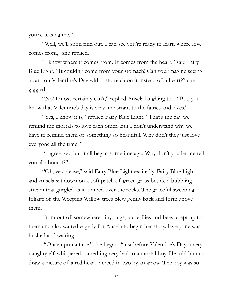you're teasing me."

"Well, we'll soon find out. I can see you're ready to learn where love comes from," she replied.

"I know where it comes from. It comes from the heart," said Fairy Blue Light. "It couldn't come from your stomach! Can you imagine seeing a card on Valentine's Day with a stomach on it instead of a heart?" she giggled.

"No! I most certainly can't," replied Ansela laughing too. "But, you know that Valentine's day is very important to the fairies and elves."

"Yes, I know it is," replied Fairy Blue Light. "That's the day we remind the mortals to love each other. But I don't understand why we have to remind them of something so beautiful. Why don't they just love everyone all the time?"

"I agree too, but it all began sometime ago. Why don't you let me tell you all about it?"

"Oh, yes please," said Fairy Blue Light excitedly. Fairy Blue Light and Ansela sat down on a soft patch of green grass beside a bubbling stream that gurgled as it jumped over the rocks. The graceful sweeping foliage of the Weeping Willow trees blew gently back and forth above them.

From out of somewhere, tiny bugs, butterflies and bees, crept up to them and also waited eagerly for Ansela to begin her story. Everyone was hushed and waiting.

 "Once upon a time," she began, "just before Valentine's Day, a very naughty elf whispered something very bad to a mortal boy. He told him to draw a picture of a red heart pierced in two by an arrow. The boy was so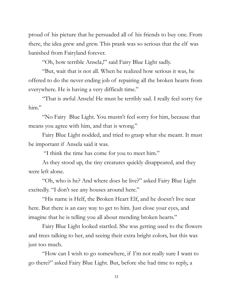proud of his picture that he persuaded all of his friends to buy one. From there, the idea grew and grew. This prank was so serious that the elf was banished from Fairyland forever.

"Oh, how terrible Ansela,!" said Fairy Blue Light sadly.

"But, wait that is not all. When he realized how serious it was, he offered to do the never ending job of repairing all the broken hearts from everywhere. He is having a very difficult time."

"That is awful Ansela! He must be terribly sad. I really feel sorry for him."

"No Fairy Blue Light. You mustn't feel sorry for him, because that means you agree with him, and that is wrong."

Fairy Blue Light nodded, and tried to grasp what she meant. It must be important if Ansela said it was.

"I think the time has come for you to meet him."

As they stood up, the tiny creatures quickly disappeared, and they were left alone.

"Oh, who is he? And where does he live?" asked Fairy Blue Light excitedly. "I don't see any houses around here."

"His name is Helf, the Broken Heart Elf, and he doesn't live near here. But there is an easy way to get to him. Just close your eyes, and imagine that he is telling you all about mending broken hearts."

Fairy Blue Light looked startled. She was getting used to the flowers and trees talking to her, and seeing their extra bright colors, but this was just too much.

"How can I wish to go somewhere, if I'm not really sure I want to go there?" asked Fairy Blue Light. But, before she had time to reply, a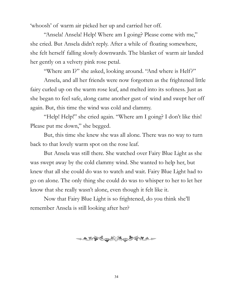'whoosh' of warm air picked her up and carried her off.

"Ansela! Ansela! Help! Where am I going? Please come with me," she cried. But Ansela didn't reply. After a while of floating somewhere, she felt herself falling slowly downwards. The blanket of warm air landed her gently on a velvety pink rose petal.

"Where am I?" she asked, looking around. "And where is Helf?"

Ansela, and all her friends were now forgotten as the frightened little fairy curled up on the warm rose leaf, and melted into its softness. Just as she began to feel safe, along came another gust of wind and swept her off again. But, this time the wind was cold and clammy.

"Help! Help!" she cried again. "Where am I going? I don't like this! Please put me down," she begged.

But, this time she knew she was all alone. There was no way to turn back to that lovely warm spot on the rose leaf.

But Ansela was still there. She watched over Fairy Blue Light as she was swept away by the cold clammy wind. She wanted to help her, but knew that all she could do was to watch and wait. Fairy Blue Light had to go on alone. The only thing she could do was to whisper to her to let her know that she really wasn't alone, even though it felt like it.

Now that Fairy Blue Light is so frightened, do you think she'll remember Ansela is still looking after her?

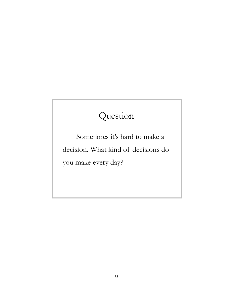## Question

Sometimes it's hard to make a decision. What kind of decisions do you make every day?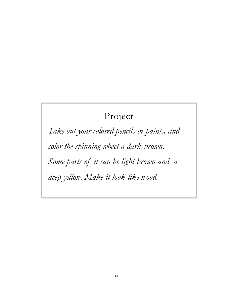### Project

*Take out your colored pencils or paints, and color the spinning wheel a dark brown. Some parts of it can be light brown and a deep yellow. Make it look like wood.*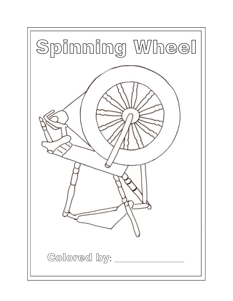